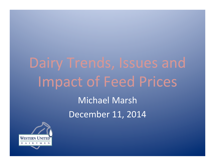# Dairy Trends, Issues and Impact of Feed Prices

Michael Marsh December 11, 2014

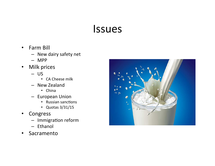#### Issues

- Farm Bill
	- New dairy safety net
	- MPP
- Milk prices
	- US
		- CA Cheese milk
	- New Zealand
		- China
	- European Union
		- Russian sanctions
		- Quotas 3/31/15
- **Congress** 
	- $-$  Immigration reform
	- Ethanol
- Sacramento

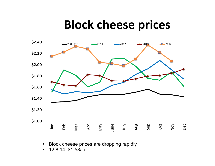## **Block cheese prices**



• Block cheese prices are dropping rapidly

• 12.8.14: \$1.58/lb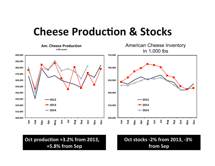#### **Cheese Production & Stocks**



**Oct production +3.2% from 2013, +5.8% from Sep** 

**Oct stocks -2% from 2013, -3% from Sep**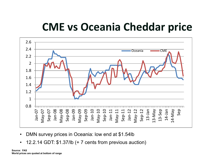### **CME** vs Oceania Cheddar price



- DMN survey prices in Oceania: low end at \$1.54lb
- 12.2.14 GDT: \$1.37/lb (+ 7 cents from previous auction)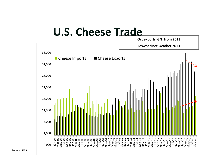#### **U.S. Cheese Trade**



**Source: FAS**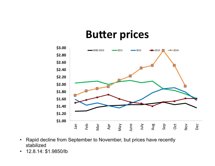#### **Butter prices**



- Rapid decline from September to November, but prices have recently stabilized
- 12.8.14: \$1.9850/lb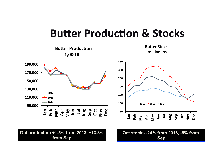#### **Butter Production & Stocks**

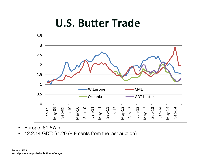#### **U.S. Butter Trade**



- Europe: \$1.57/lb
- 12.2.14 GDT: \$1.20 (+ 9 cents from the last auction)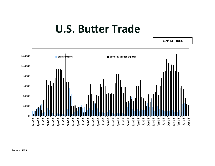#### **U.S. Butter Trade**

**Oct'14 -80% 0 2,000 4,000 6,000 8,000 10,000 12,000 Jan-07 Apr-07 Jul-07 Oct-07 Jan-08 Apr-08 Jul-08 Oct-08 Jan-09 Apr-09 Jul-09 Oct-09 Jan-10 Apr-10 Jul-10 Oct-10 Jan-11 Apr-11 Jul-11 Oct-11 Jan-12 Apr-12 Jul-12 Oct-12 Jan-13 Apr-13 Jul-13 Oct-13 Jan-14 Apr-14 Jul-14 Oct-14 Butter Imports Butter & Milkfat Exports**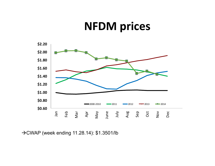#### **NFDM** prices



→CWAP (week ending 11.28.14): \$1.3501/lb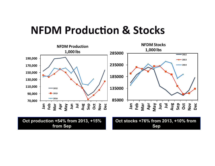#### **NFDM Production & Stocks**



**Sep**

**from Sep**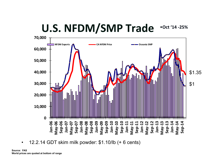#### U.S. NFDM/SMP Trade •**Oct '14 -25%**



• 12.2.14 GDT skim milk powder: \$1.10/lb (+ 6 cents)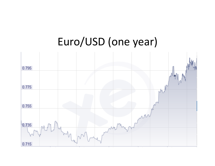#### Euro/USD (one year)

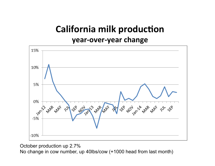#### **California milk production year-over-year change**



October production up 2.7%

No change in cow number, up 40lbs/cow (+1000 head from last month)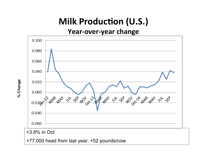#### **Milk Production (U.S.)**

#### Year-over-year change



**% Change** 

% Change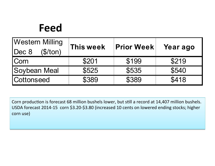### **Feed**

| <b>Western Milling</b>   | This week | <b>Prior Week</b> | Year ago |  |
|--------------------------|-----------|-------------------|----------|--|
| $\vert$ Dec 8<br>\$/ton) |           |                   |          |  |
| <b>Corn</b>              | \$201     | \$199             | \$219    |  |
| <b>Soybean Meal</b>      | \$525     | \$535             | \$540    |  |
| <b>Cottonseed</b>        | \$389     | \$389             | \$418    |  |

Corn production is forecast 68 million bushels lower, but still a record at 14,407 million bushels. USDA forecast 2014-15 corn \$3.20-\$3.80 (increased 10 cents on lowered ending stocks; higher corn use)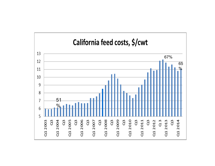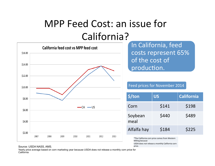#### MPP Feed Cost: an issue for California?



In California, feed costs represent 65% of the cost of production.

Feed prices for November 2014

| \$/ton          | US    | <b>California</b> |
|-----------------|-------|-------------------|
| Corn            | \$141 | \$198             |
| Soybean<br>meal | \$440 | \$489             |
| Alfalfa hay     | \$184 | \$225             |

\*The California corn price comes from Western **Milling because** USDA does not release a monthly California corn

#### Source: USDA NASS, AMS. price.

Yearly price average based on corn marketing year because USDA does not release a monthly corn price for **California**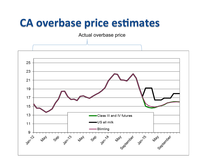#### **CA** overbase price estimates

Actual overbase price

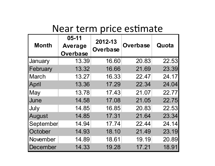#### Near term price estimate

|              | $05 - 11$       | 2012-13<br><b>Overbase</b> | <b>Overbase</b> | Quota |
|--------------|-----------------|----------------------------|-----------------|-------|
| <b>Month</b> | Average         |                            |                 |       |
|              | <b>Overbase</b> |                            |                 |       |
| January      | 13.39           | 16.60                      | 20.83           | 22.53 |
| February     | 13.32           | 16.66                      | 21.69           | 23.39 |
| <b>March</b> | 13.27           | 16.33                      | 22.47           | 24.17 |
| April        | 13.36           | 17.29                      | 22.34           | 24.04 |
| May          | 13.78           | 17.43                      | 21.07           | 22.77 |
| June         | 14.58           | 17.08                      | 21.05           | 22.75 |
| July         | 14.85           | 16.85                      | 20.83           | 22.53 |
| August       | 14.85           | 17.31                      | 21.64           | 23.34 |
| September    | 14.94           | 17.74                      | 22.44           | 24.14 |
| October      | 14.93           | 18.10                      | 21.49           | 23.19 |
| November     | 14.89           | 18.61                      | 19.19           | 20.89 |
| December     | 14.33           | 19.28                      | 17.21           | 18.91 |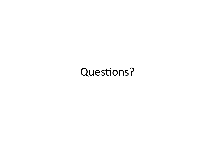#### Questions?